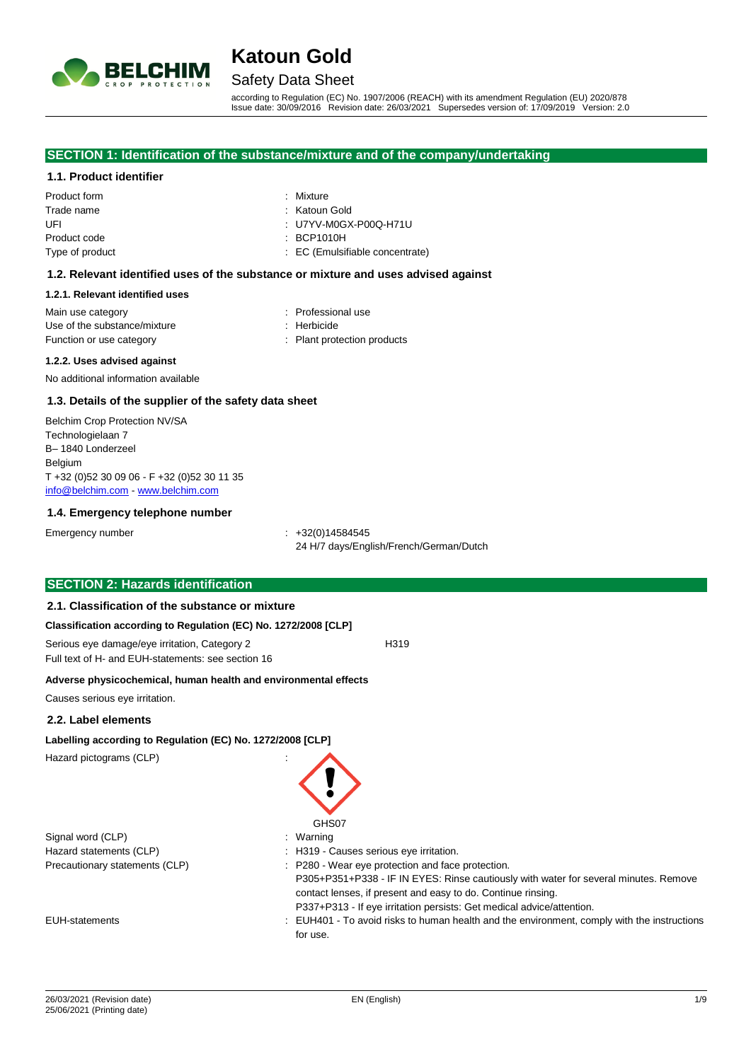

## Safety Data Sheet

according to Regulation (EC) No. 1907/2006 (REACH) with its amendment Regulation (EU) 2020/878 Issue date: 30/09/2016 Revision date: 26/03/2021 Supersedes version of: 17/09/2019 Version: 2.0

#### **SECTION 1: Identification of the substance/mixture and of the company/undertaking**

#### **1.1. Product identifier**

| Product form    | : Mixture                       |
|-----------------|---------------------------------|
| Trade name      | : Katoun Gold                   |
| UFL             | : U7YV-M0GX-P00Q-H71U           |
| Product code    | $\therefore$ BCP1010H           |
| Type of product | : EC (Emulsifiable concentrate) |
|                 |                                 |

#### **1.2. Relevant identified uses of the substance or mixture and uses advised against**

#### **1.2.1. Relevant identified uses**

| Main use category            | : Professional use          |
|------------------------------|-----------------------------|
| Use of the substance/mixture | : Herbicide                 |
| Function or use category     | : Plant protection products |
|                              |                             |

#### **1.2.2. Uses advised against**

No additional information available

#### **1.3. Details of the supplier of the safety data sheet**

Belchim Crop Protection NV/SA Technologielaan 7 B– 1840 Londerzeel Belgium T +32 (0)52 30 09 06 - F +32 (0)52 30 11 35 [info@belchim.com](mailto:info@belchim.com) - [www.belchim.com](http://www.belchim.com/)

#### **1.4. Emergency telephone number**

Emergency number : +32(0)14584545

24 H/7 days/English/French/German/Dutch

#### **SECTION 2: Hazards identification**

#### **2.1. Classification of the substance or mixture**

#### **Classification according to Regulation (EC) No. 1272/2008 [CLP]**

Serious eye damage/eye irritation, Category 2 h319 Full text of H- and EUH-statements: see section 16

**Adverse physicochemical, human health and environmental effects**

Causes serious eye irritation.

#### **2.2. Label elements**

#### **Labelling according to Regulation (EC) No. 1272/2008 [CLP]**

Hazard pictograms (CLP) :

Signal word (CLP) : Warning

GHS07 Hazard statements (CLP)  $\qquad \qquad$ : H319 - Causes serious eye irritation. Precautionary statements (CLP) : P280 - Wear eye protection and face protection. P305+P351+P338 - IF IN EYES: Rinse cautiously with water for several minutes. Remove contact lenses, if present and easy to do. Continue rinsing. P337+P313 - If eye irritation persists: Get medical advice/attention. EUH-statements : EUH401 - To avoid risks to human health and the environment, comply with the instructions

for use.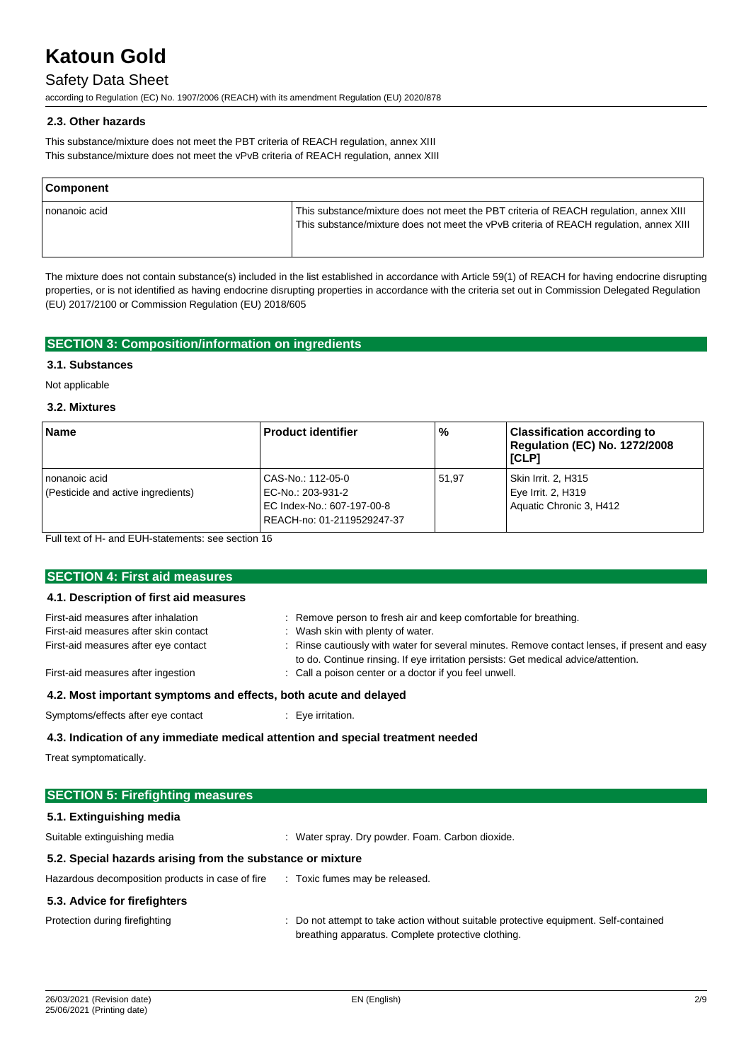# Safety Data Sheet

according to Regulation (EC) No. 1907/2006 (REACH) with its amendment Regulation (EU) 2020/878

#### **2.3. Other hazards**

This substance/mixture does not meet the PBT criteria of REACH regulation, annex XIII This substance/mixture does not meet the vPvB criteria of REACH regulation, annex XIII

| <b>Component</b> |                                                                                                                                                                                 |
|------------------|---------------------------------------------------------------------------------------------------------------------------------------------------------------------------------|
| nonanoic acid    | This substance/mixture does not meet the PBT criteria of REACH regulation, annex XIII<br>This substance/mixture does not meet the vPvB criteria of REACH regulation, annex XIII |

The mixture does not contain substance(s) included in the list established in accordance with Article 59(1) of REACH for having endocrine disrupting properties, or is not identified as having endocrine disrupting properties in accordance with the criteria set out in Commission Delegated Regulation (EU) 2017/2100 or Commission Regulation (EU) 2018/605

### **SECTION 3: Composition/information on ingredients**

### **3.1. Substances**

Not applicable

### **3.2. Mixtures**

| <b>Name</b>                                           | <b>Product identifier</b>                                                                          | %     | <b>Classification according to</b><br>Regulation (EC) No. 1272/2008<br>[CLP] |
|-------------------------------------------------------|----------------------------------------------------------------------------------------------------|-------|------------------------------------------------------------------------------|
| I nonanoic acid<br>(Pesticide and active ingredients) | CAS-No.: 112-05-0<br>EC-No.: 203-931-2<br>EC Index-No.: 607-197-00-8<br>REACH-no: 01-2119529247-37 | 51.97 | Skin Irrit. 2, H315<br>Eye Irrit. 2, H319<br>Aquatic Chronic 3, H412         |

Full text of H- and EUH-statements: see section 16

| <b>SECTION 4: First aid measures</b>                                            |                                                                                                                                                                                     |  |
|---------------------------------------------------------------------------------|-------------------------------------------------------------------------------------------------------------------------------------------------------------------------------------|--|
| 4.1. Description of first aid measures                                          |                                                                                                                                                                                     |  |
| First-aid measures after inhalation                                             | : Remove person to fresh air and keep comfortable for breathing.                                                                                                                    |  |
| First-aid measures after skin contact                                           | : Wash skin with plenty of water.                                                                                                                                                   |  |
| First-aid measures after eye contact                                            | : Rinse cautiously with water for several minutes. Remove contact lenses, if present and easy<br>to do. Continue rinsing. If eye irritation persists: Get medical advice/attention. |  |
| First-aid measures after ingestion                                              | : Call a poison center or a doctor if you feel unwell.                                                                                                                              |  |
| 4.2. Most important symptoms and effects, both acute and delayed                |                                                                                                                                                                                     |  |
| Symptoms/effects after eye contact                                              | $\therefore$ Eye irritation.                                                                                                                                                        |  |
| 4.3. Indication of any immediate medical attention and special treatment needed |                                                                                                                                                                                     |  |

Treat symptomatically.

| <b>SECTION 5: Firefighting measures</b>                    |                                                                                                                                             |  |
|------------------------------------------------------------|---------------------------------------------------------------------------------------------------------------------------------------------|--|
| 5.1. Extinguishing media                                   |                                                                                                                                             |  |
| Suitable extinguishing media                               | : Water spray. Dry powder. Foam. Carbon dioxide.                                                                                            |  |
| 5.2. Special hazards arising from the substance or mixture |                                                                                                                                             |  |
| Hazardous decomposition products in case of fire           | : Toxic fumes may be released.                                                                                                              |  |
| 5.3. Advice for firefighters                               |                                                                                                                                             |  |
| Protection during firefighting                             | : Do not attempt to take action without suitable protective equipment. Self-contained<br>breathing apparatus. Complete protective clothing. |  |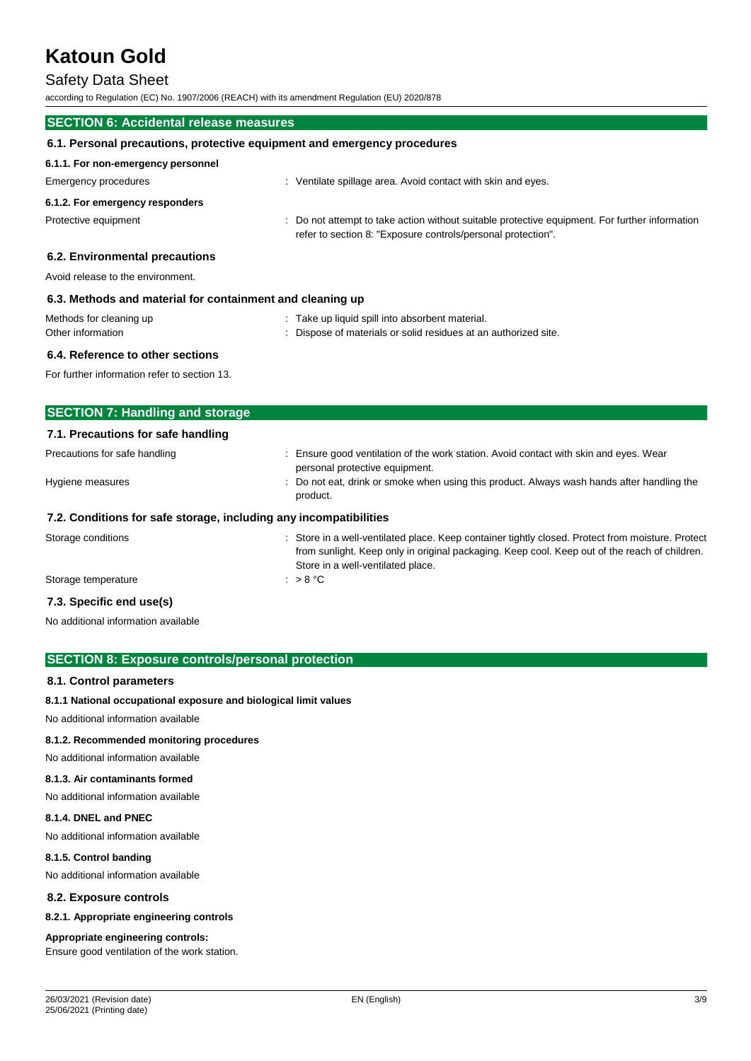# Safety Data Sheet

according to Regulation (EC) No. 1907/2006 (REACH) with its amendment Regulation (EU) 2020/878

| <b>SECTION 6: Accidental release measures</b>                            |                                                                                                                                                                |  |  |
|--------------------------------------------------------------------------|----------------------------------------------------------------------------------------------------------------------------------------------------------------|--|--|
| 6.1. Personal precautions, protective equipment and emergency procedures |                                                                                                                                                                |  |  |
| 6.1.1. For non-emergency personnel                                       |                                                                                                                                                                |  |  |
| Emergency procedures                                                     | : Ventilate spillage area. Avoid contact with skin and eyes.                                                                                                   |  |  |
| 6.1.2. For emergency responders                                          |                                                                                                                                                                |  |  |
| Protective equipment                                                     | : Do not attempt to take action without suitable protective equipment. For further information<br>refer to section 8: "Exposure controls/personal protection". |  |  |
| 6.2. Environmental precautions                                           |                                                                                                                                                                |  |  |
| Avoid release to the environment.                                        |                                                                                                                                                                |  |  |
| 6.3. Methods and material for containment and cleaning up                |                                                                                                                                                                |  |  |
| Methods for cleaning up                                                  | : Take up liquid spill into absorbent material.                                                                                                                |  |  |
| Other information                                                        | Dispose of materials or solid residues at an authorized site.                                                                                                  |  |  |
| 6.4. Reference to other sections                                         |                                                                                                                                                                |  |  |

For further information refer to section 13.

| <b>SECTION 7: Handling and storage</b>                            |                                                                                                                                                                                                                                         |
|-------------------------------------------------------------------|-----------------------------------------------------------------------------------------------------------------------------------------------------------------------------------------------------------------------------------------|
| 7.1. Precautions for safe handling                                |                                                                                                                                                                                                                                         |
| Precautions for safe handling                                     | : Ensure good ventilation of the work station. Avoid contact with skin and eyes. Wear<br>personal protective equipment.                                                                                                                 |
| Hygiene measures                                                  | : Do not eat, drink or smoke when using this product. Always wash hands after handling the<br>product.                                                                                                                                  |
| 7.2. Conditions for safe storage, including any incompatibilities |                                                                                                                                                                                                                                         |
| Storage conditions                                                | : Store in a well-ventilated place. Keep container tightly closed. Protect from moisture. Protect<br>from sunlight. Keep only in original packaging. Keep cool. Keep out of the reach of children.<br>Store in a well-ventilated place. |
| Storage temperature                                               | : $> 8 °C$                                                                                                                                                                                                                              |

#### **7.3. Specific end use(s)**

No additional information available

#### **SECTION 8: Exposure controls/personal protection**

#### **8.1. Control parameters**

#### **8.1.1 National occupational exposure and biological limit values**

No additional information available

#### **8.1.2. Recommended monitoring procedures**

No additional information available

#### **8.1.3. Air contaminants formed**

No additional information available

#### **8.1.4. DNEL and PNEC**

No additional information available

#### **8.1.5. Control banding**

No additional information available

**8.2. Exposure controls**

#### **8.2.1. Appropriate engineering controls**

#### **Appropriate engineering controls:**

Ensure good ventilation of the work station.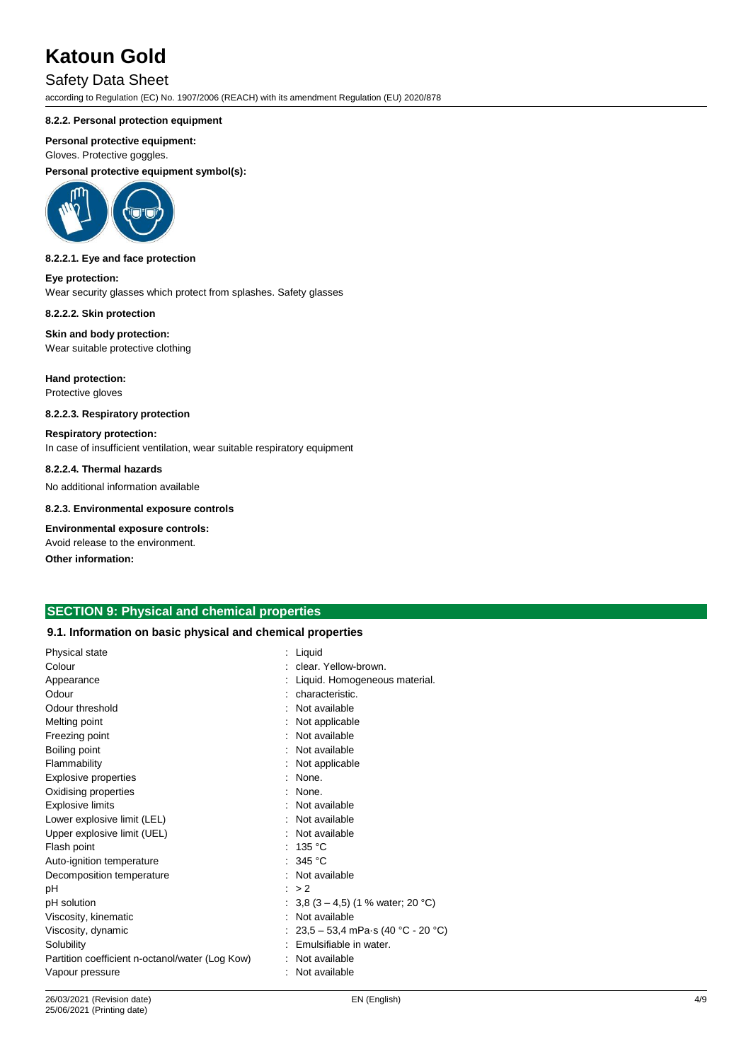## Safety Data Sheet

according to Regulation (EC) No. 1907/2006 (REACH) with its amendment Regulation (EU) 2020/878

#### **8.2.2. Personal protection equipment**

#### **Personal protective equipment:**

Gloves. Protective goggles.

**Personal protective equipment symbol(s):**



#### **8.2.2.1. Eye and face protection**

**Eye protection:** Wear security glasses which protect from splashes. Safety glasses

**8.2.2.2. Skin protection**

**Skin and body protection:** Wear suitable protective clothing

**Hand protection:** Protective gloves

## **8.2.2.3. Respiratory protection**

**Respiratory protection:** In case of insufficient ventilation, wear suitable respiratory equipment

#### **8.2.2.4. Thermal hazards**

No additional information available

#### **8.2.3. Environmental exposure controls**

**Environmental exposure controls:**

Avoid release to the environment.

**Other information:**

## **SECTION 9: Physical and chemical properties**

#### **9.1. Information on basic physical and chemical properties**

| Physical state                                  | : Liquid                           |
|-------------------------------------------------|------------------------------------|
| Colour                                          | clear. Yellow-brown.               |
| Appearance                                      | Liquid. Homogeneous material.      |
| Odour                                           | characteristic.                    |
| Odour threshold                                 | Not available                      |
| Melting point                                   | Not applicable                     |
| Freezing point                                  | Not available                      |
| Boiling point                                   | Not available                      |
| Flammability                                    | Not applicable                     |
| <b>Explosive properties</b>                     | None.                              |
| Oxidising properties                            | None.                              |
| <b>Explosive limits</b>                         | Not available                      |
| Lower explosive limit (LEL)                     | Not available                      |
| Upper explosive limit (UEL)                     | Not available                      |
| Flash point                                     | 135 °C                             |
| Auto-ignition temperature                       | : 345 $^{\circ}$ C                 |
| Decomposition temperature                       | Not available                      |
| рH                                              | : > 2                              |
| pH solution                                     | : 3,8 (3 – 4,5) (1 % water; 20 °C) |
| Viscosity, kinematic                            | : Not available                    |
| Viscosity, dynamic                              | 23,5 – 53,4 mPa·s (40 °C - 20 °C)  |
| Solubility                                      | Emulsifiable in water.             |
| Partition coefficient n-octanol/water (Log Kow) | Not available                      |
| Vapour pressure                                 | Not available                      |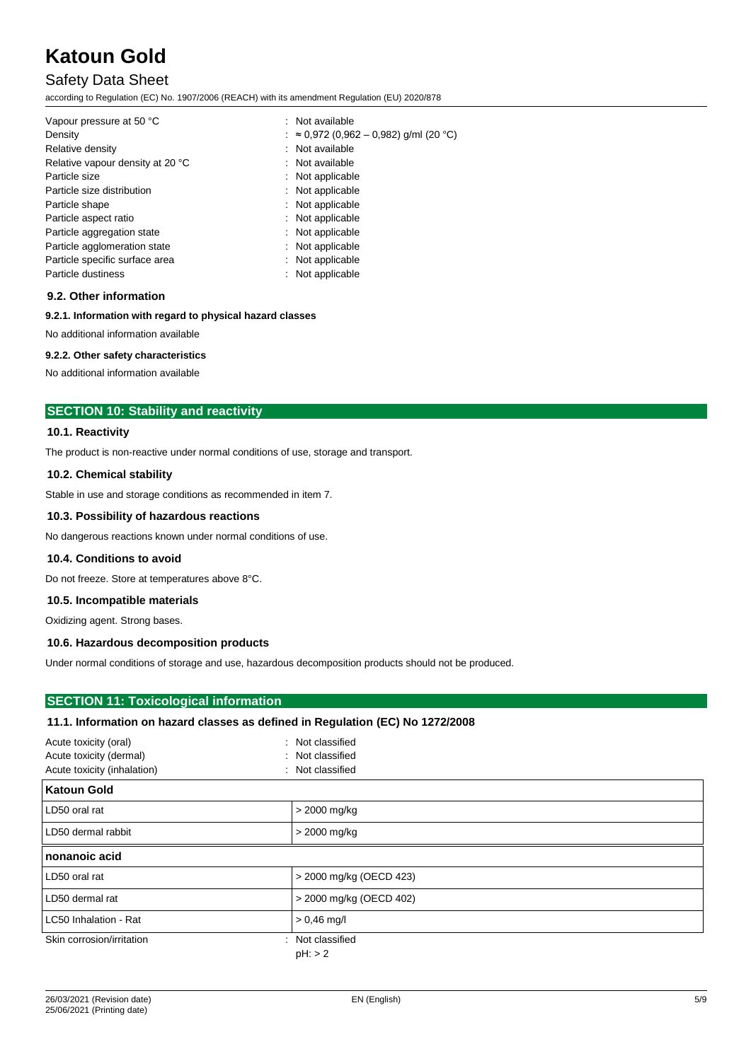# Safety Data Sheet

according to Regulation (EC) No. 1907/2006 (REACH) with its amendment Regulation (EU) 2020/878

| Vapour pressure at 50 °C<br>Density | : Not available<br>: ≈ 0,972 (0,962 – 0,982) g/ml (20 °C) |
|-------------------------------------|-----------------------------------------------------------|
| Relative density                    | : Not available                                           |
| Relative vapour density at 20 °C    | : Not available                                           |
| Particle size                       | : Not applicable                                          |
| Particle size distribution          | : Not applicable                                          |
| Particle shape                      | : Not applicable                                          |
| Particle aspect ratio               | : Not applicable                                          |
| Particle aggregation state          | : Not applicable                                          |
| Particle agglomeration state        | : Not applicable                                          |
| Particle specific surface area      | : Not applicable                                          |
| Particle dustiness                  | : Not applicable                                          |

#### **9.2. Other information**

#### **9.2.1. Information with regard to physical hazard classes**

No additional information available

#### **9.2.2. Other safety characteristics**

No additional information available

### **SECTION 10: Stability and reactivity**

#### **10.1. Reactivity**

The product is non-reactive under normal conditions of use, storage and transport.

#### **10.2. Chemical stability**

Stable in use and storage conditions as recommended in item 7.

#### **10.3. Possibility of hazardous reactions**

No dangerous reactions known under normal conditions of use.

#### **10.4. Conditions to avoid**

Do not freeze. Store at temperatures above 8°C.

#### **10.5. Incompatible materials**

Oxidizing agent. Strong bases.

#### **10.6. Hazardous decomposition products**

Under normal conditions of storage and use, hazardous decomposition products should not be produced.

### **SECTION 11: Toxicological information**

#### **11.1. Information on hazard classes as defined in Regulation (EC) No 1272/2008**

| Acute toxicity (oral)<br>Acute toxicity (dermal)<br>Acute toxicity (inhalation)<br>۰ | : Not classified<br>: Not classified<br>Not classified |
|--------------------------------------------------------------------------------------|--------------------------------------------------------|
| <b>Katoun Gold</b>                                                                   |                                                        |
| LD50 oral rat                                                                        | $>$ 2000 mg/kg                                         |
| LD50 dermal rabbit                                                                   | $>$ 2000 mg/kg                                         |
| nonanoic acid                                                                        |                                                        |
| LD50 oral rat                                                                        | > 2000 mg/kg (OECD 423)                                |
| LD50 dermal rat                                                                      | > 2000 mg/kg (OECD 402)                                |
| LC50 Inhalation - Rat                                                                | $> 0.46$ mg/l                                          |
| Skin corrosion/irritation                                                            | : Not classified<br>$pH:$ > 2                          |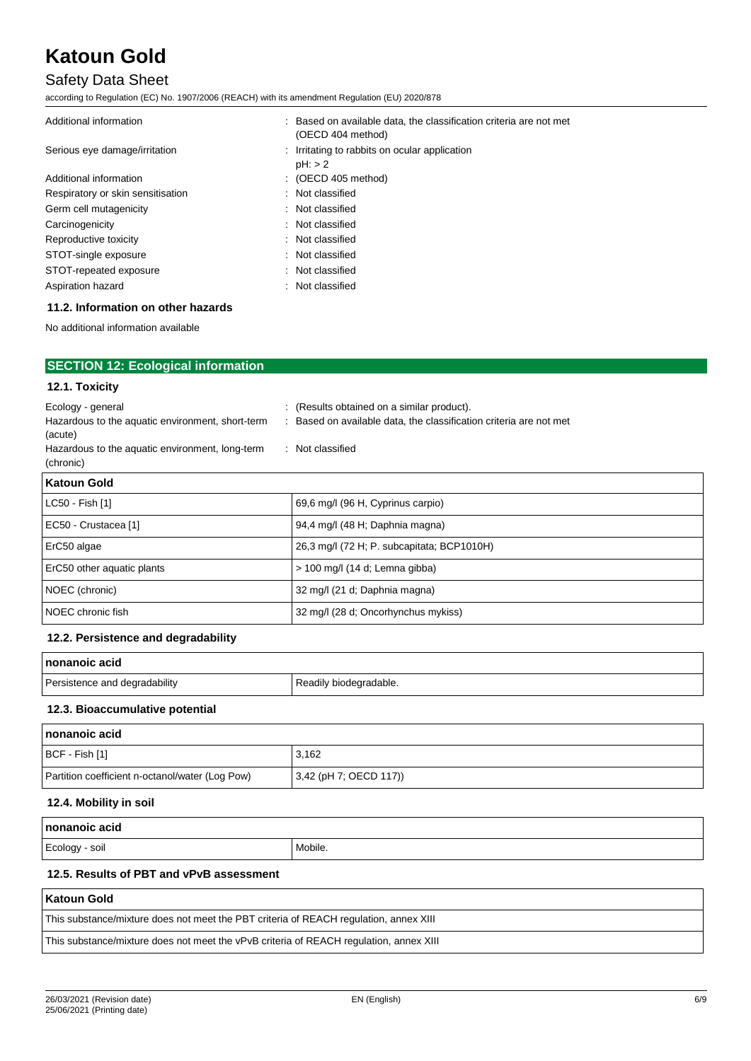# Safety Data Sheet

according to Regulation (EC) No. 1907/2006 (REACH) with its amendment Regulation (EU) 2020/878

| : Based on available data, the classification criteria are not met<br>(OECD 404 method) |
|-----------------------------------------------------------------------------------------|
| : Irritating to rabbits on ocular application<br>$pH:$ $>$ 2                            |
| $\therefore$ (OECD 405 method)                                                          |
| : Not classified                                                                        |
| : Not classified                                                                        |
| : Not classified                                                                        |
| : Not classified                                                                        |
| : Not classified                                                                        |
| : Not classified                                                                        |
| : Not classified                                                                        |
|                                                                                         |

### **11.2. Information on other hazards**

No additional information available

| <b>SECTION 12: Ecological information</b>                    |                                                                  |
|--------------------------------------------------------------|------------------------------------------------------------------|
| 12.1. Toxicity                                               |                                                                  |
| Ecology - general                                            | : (Results obtained on a similar product).                       |
| Hazardous to the aquatic environment, short-term<br>(acute)  | Based on available data, the classification criteria are not met |
| Hazardous to the aquatic environment, long-term<br>(chronic) | : Not classified                                                 |
| <b>Katoun Gold</b>                                           |                                                                  |

| LC50 - Fish [1]            | 69,6 mg/l (96 H, Cyprinus carpio)          |
|----------------------------|--------------------------------------------|
| EC50 - Crustacea [1]       | 94,4 mg/l (48 H; Daphnia magna)            |
| ErC50 algae                | 26,3 mg/l (72 H; P. subcapitata; BCP1010H) |
| ErC50 other aquatic plants | > 100 mg/l (14 d; Lemna gibba)             |
| NOEC (chronic)             | 32 mg/l (21 d; Daphnia magna)              |
| NOEC chronic fish          | 32 mg/l (28 d; Oncorhynchus mykiss)        |
|                            |                                            |

#### **12.2. Persistence and degradability**

| 'nonanoic acid                |                        |
|-------------------------------|------------------------|
| Persistence and degradability | Readily biodegradable. |

### **12.3. Bioaccumulative potential**

| nonanoic acid                                   |                           |
|-------------------------------------------------|---------------------------|
| BCF - Fish [1]                                  | 3,162                     |
| Partition coefficient n-octanol/water (Log Pow) | $(3,42$ (pH 7; OECD 117)) |

#### **12.4. Mobility in soil**

| l nonanoic acid                          |         |
|------------------------------------------|---------|
| Ecology - soil                           | Mobile. |
| 12.5. Results of PBT and vPvB assessment |         |

#### **Katoun Gold**

| This substance/mixture does not meet the PBT criteria of REACH regulation, annex XIII |  |
|---------------------------------------------------------------------------------------|--|
|                                                                                       |  |

This substance/mixture does not meet the vPvB criteria of REACH regulation, annex XIII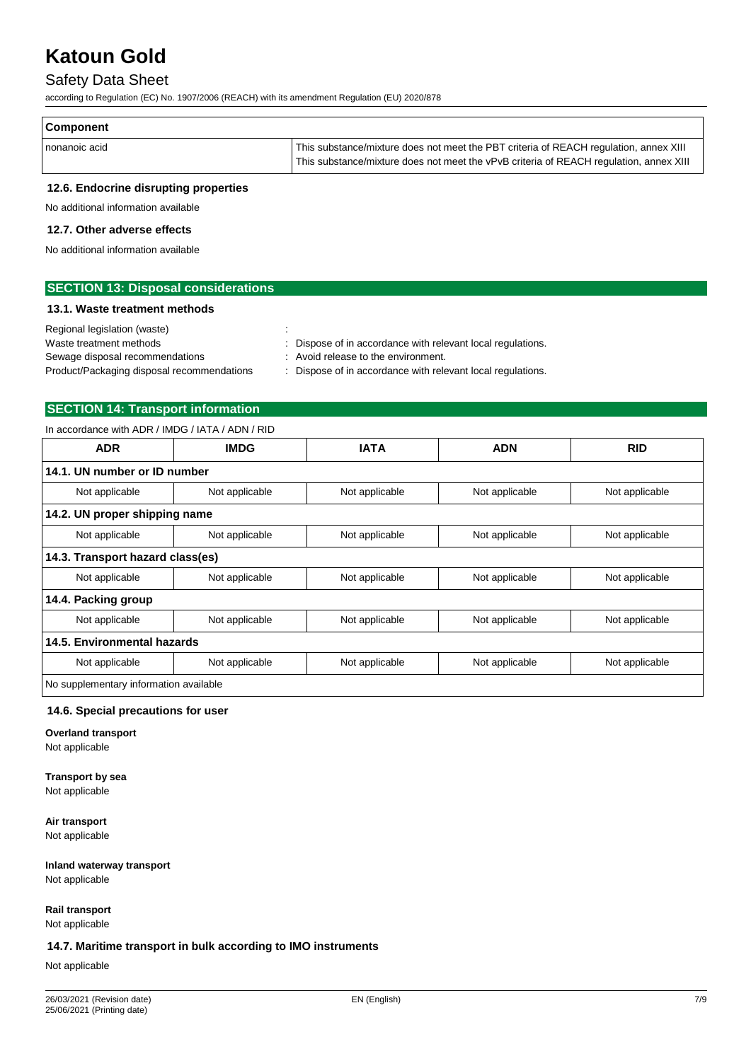## Safety Data Sheet

according to Regulation (EC) No. 1907/2006 (REACH) with its amendment Regulation (EU) 2020/878

| Component     |                                                                                        |
|---------------|----------------------------------------------------------------------------------------|
| nonanoic acid | This substance/mixture does not meet the PBT criteria of REACH regulation, annex XIII  |
|               | This substance/mixture does not meet the vPvB criteria of REACH regulation, annex XIII |

### **12.6. Endocrine disrupting properties**

No additional information available

#### **12.7. Other adverse effects**

No additional information available

| <b>SECTION 13: Disposal considerations</b> |
|--------------------------------------------|
|--------------------------------------------|

#### **13.1. Waste treatment methods**

| Regional legislation (waste)               |                                                             |
|--------------------------------------------|-------------------------------------------------------------|
| Waste treatment methods                    | : Dispose of in accordance with relevant local regulations. |
| Sewage disposal recommendations            | : Avoid release to the environment.                         |
| Product/Packaging disposal recommendations | : Dispose of in accordance with relevant local regulations. |
|                                            |                                                             |

## **SECTION 14: Transport information**

In accordance with ADR / IMDG / IATA / ADN / RID

| <b>ADR</b>                             | <b>IMDG</b>    | <b>IATA</b>    | <b>ADN</b>     |                |
|----------------------------------------|----------------|----------------|----------------|----------------|
| 14.1. UN number or ID number           |                |                |                |                |
| Not applicable                         | Not applicable | Not applicable | Not applicable | Not applicable |
| 14.2. UN proper shipping name          |                |                |                |                |
| Not applicable                         | Not applicable | Not applicable | Not applicable | Not applicable |
| 14.3. Transport hazard class(es)       |                |                |                |                |
| Not applicable                         | Not applicable | Not applicable | Not applicable | Not applicable |
| 14.4. Packing group                    |                |                |                |                |
| Not applicable                         | Not applicable | Not applicable | Not applicable | Not applicable |
| 14.5. Environmental hazards            |                |                |                |                |
| Not applicable                         | Not applicable | Not applicable | Not applicable | Not applicable |
| No supplementary information available |                |                |                |                |

#### **14.6. Special precautions for user**

**Overland transport** Not applicable

#### **Transport by sea** Not applicable

**Air transport** Not applicable

**Inland waterway transport** Not applicable

**Rail transport** Not applicable

#### **14.7. Maritime transport in bulk according to IMO instruments**

Not applicable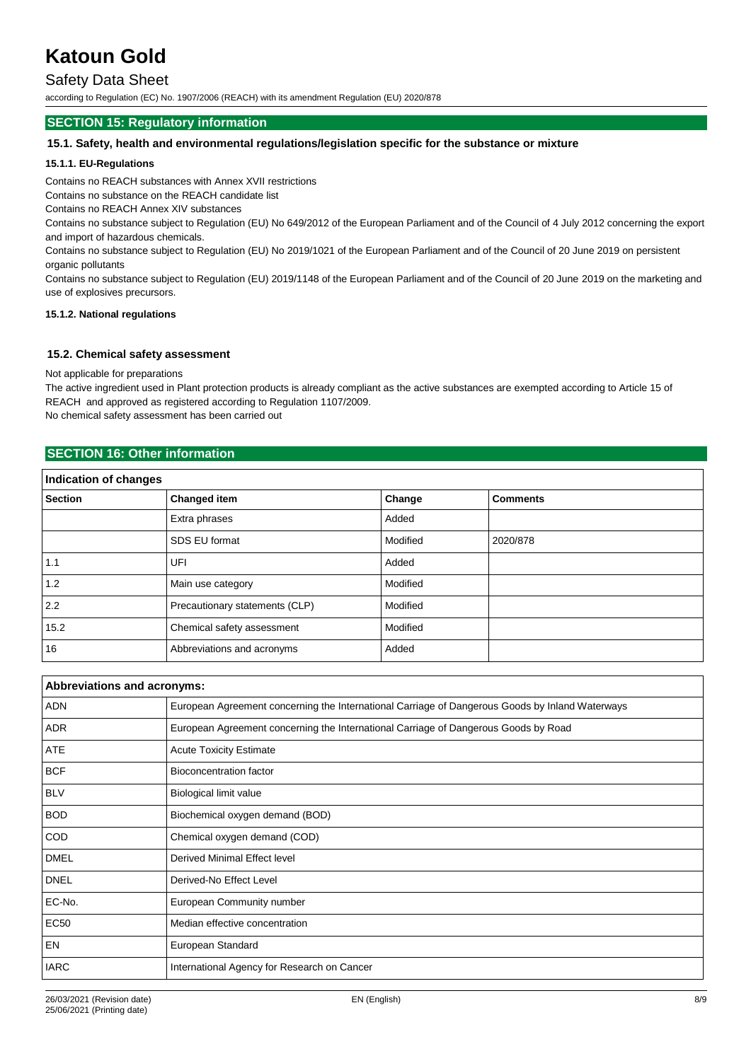## Safety Data Sheet

according to Regulation (EC) No. 1907/2006 (REACH) with its amendment Regulation (EU) 2020/878

### **SECTION 15: Regulatory information**

#### **15.1. Safety, health and environmental regulations/legislation specific for the substance or mixture**

#### **15.1.1. EU-Regulations**

Contains no REACH substances with Annex XVII restrictions

Contains no substance on the REACH candidate list

Contains no REACH Annex XIV substances

Contains no substance subject to Regulation (EU) No 649/2012 of the European Parliament and of the Council of 4 July 2012 concerning the export and import of hazardous chemicals.

Contains no substance subject to Regulation (EU) No 2019/1021 of the European Parliament and of the Council of 20 June 2019 on persistent organic pollutants

Contains no substance subject to Regulation (EU) 2019/1148 of the European Parliament and of the Council of 20 June 2019 on the marketing and use of explosives precursors.

#### **15.1.2. National regulations**

#### **15.2. Chemical safety assessment**

Not applicable for preparations

The active ingredient used in Plant protection products is already compliant as the active substances are exempted according to Article 15 of REACH and approved as registered according to Regulation 1107/2009.

No chemical safety assessment has been carried out

### **SECTION 16: Other information**

| Indication of changes |                                |          |                 |
|-----------------------|--------------------------------|----------|-----------------|
| <b>Section</b>        | <b>Changed item</b>            | Change   | <b>Comments</b> |
|                       | Extra phrases                  | Added    |                 |
|                       | SDS EU format                  | Modified | 2020/878        |
| 1.1                   | UFI                            | Added    |                 |
| 1.2                   | Main use category              | Modified |                 |
| 2.2                   | Precautionary statements (CLP) | Modified |                 |
| 15.2                  | Chemical safety assessment     | Modified |                 |
| 16                    | Abbreviations and acronyms     | Added    |                 |

| Abbreviations and acronyms: |                                                                                                 |  |
|-----------------------------|-------------------------------------------------------------------------------------------------|--|
| ADN                         | European Agreement concerning the International Carriage of Dangerous Goods by Inland Waterways |  |
| <b>ADR</b>                  | European Agreement concerning the International Carriage of Dangerous Goods by Road             |  |
| ATE                         | <b>Acute Toxicity Estimate</b>                                                                  |  |
| <b>BCF</b>                  | Bioconcentration factor                                                                         |  |
| <b>BLV</b>                  | Biological limit value                                                                          |  |
| <b>BOD</b>                  | Biochemical oxygen demand (BOD)                                                                 |  |
| <b>COD</b>                  | Chemical oxygen demand (COD)                                                                    |  |
| <b>DMEL</b>                 | Derived Minimal Effect level                                                                    |  |
| <b>DNEL</b>                 | Derived-No Effect Level                                                                         |  |
| EC-No.                      | European Community number                                                                       |  |
| <b>EC50</b>                 | Median effective concentration                                                                  |  |
| EN                          | European Standard                                                                               |  |
| <b>IARC</b>                 | International Agency for Research on Cancer                                                     |  |